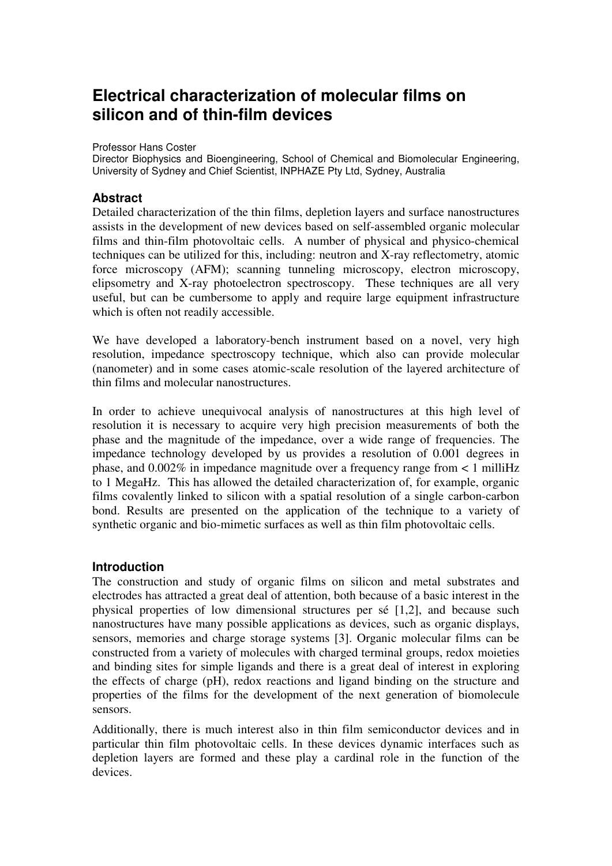# **Electrical characterization of molecular films on silicon and of thin-film devices**

Professor Hans Coster

Director Biophysics and Bioengineering, School of Chemical and Biomolecular Engineering, University of Sydney and Chief Scientist, INPHAZE Pty Ltd, Sydney, Australia

# **Abstract**

Detailed characterization of the thin films, depletion layers and surface nanostructures assists in the development of new devices based on self-assembled organic molecular films and thin-film photovoltaic cells. A number of physical and physico-chemical techniques can be utilized for this, including: neutron and X-ray reflectometry, atomic force microscopy (AFM); scanning tunneling microscopy, electron microscopy, elipsometry and X-ray photoelectron spectroscopy. These techniques are all very useful, but can be cumbersome to apply and require large equipment infrastructure which is often not readily accessible.

We have developed a laboratory-bench instrument based on a novel, very high resolution, impedance spectroscopy technique, which also can provide molecular (nanometer) and in some cases atomic-scale resolution of the layered architecture of thin films and molecular nanostructures.

In order to achieve unequivocal analysis of nanostructures at this high level of resolution it is necessary to acquire very high precision measurements of both the phase and the magnitude of the impedance, over a wide range of frequencies. The impedance technology developed by us provides a resolution of 0.001 degrees in phase, and  $0.002\%$  in impedance magnitude over a frequency range from  $\lt 1$  milliHz to 1 MegaHz. This has allowed the detailed characterization of, for example, organic films covalently linked to silicon with a spatial resolution of a single carbon-carbon bond. Results are presented on the application of the technique to a variety of synthetic organic and bio-mimetic surfaces as well as thin film photovoltaic cells.

### **Introduction**

The construction and study of organic films on silicon and metal substrates and electrodes has attracted a great deal of attention, both because of a basic interest in the physical properties of low dimensional structures per sé [1,2], and because such nanostructures have many possible applications as devices, such as organic displays, sensors, memories and charge storage systems [3]. Organic molecular films can be constructed from a variety of molecules with charged terminal groups, redox moieties and binding sites for simple ligands and there is a great deal of interest in exploring the effects of charge (pH), redox reactions and ligand binding on the structure and properties of the films for the development of the next generation of biomolecule sensors.

Additionally, there is much interest also in thin film semiconductor devices and in particular thin film photovoltaic cells. In these devices dynamic interfaces such as depletion layers are formed and these play a cardinal role in the function of the devices.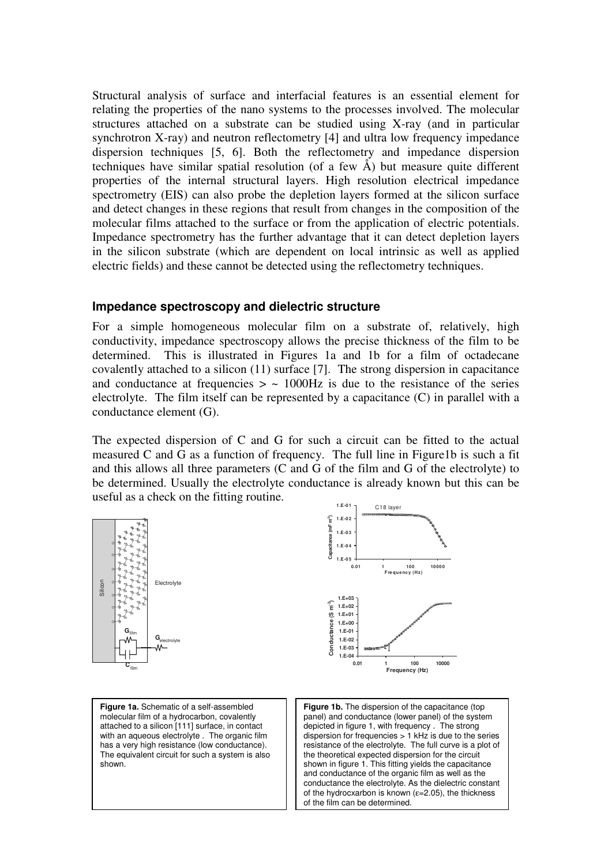Structural analysis of surface and interfacial features is an essential element for relating the properties of the nano systems to the processes involved. The molecular structures attached on a substrate can be studied using X-ray (and in particular synchrotron X-ray) and neutron reflectometry [4] and ultra low frequency impedance dispersion techniques [5, 6]. Both the reflectometry and impedance dispersion techniques have similar spatial resolution (of a few  $\AA$ ) but measure quite different properties of the internal structural layers. High resolution electrical impedance spectrometry (EIS) can also probe the depletion layers formed at the silicon surface and detect changes in these regions that result from changes in the composition of the molecular films attached to the surface or from the application of electric potentials. Impedance spectrometry has the further advantage that it can detect depletion layers in the silicon substrate (which are dependent on local intrinsic as well as applied electric fields) and these cannot be detected using the reflectometry techniques.

### **Impedance spectroscopy and dielectric structure**

For a simple homogeneous molecular film on a substrate of, relatively, high conductivity, impedance spectroscopy allows the precise thickness of the film to be determined. This is illustrated in Figures 1a and 1b for a film of octadecane covalently attached to a silicon (11) surface [7]. The strong dispersion in capacitance and conductance at frequencies  $> \sim 1000$ Hz is due to the resistance of the series electrolyte. The film itself can be represented by a capacitance (C) in parallel with a conductance element (G).

The expected dispersion of C and G for such a circuit can be fitted to the actual measured C and G as a function of frequency. The full line in Figure1b is such a fit and this allows all three parameters (C and G of the film and G of the electrolyte) to be determined. Usually the electrolyte conductance is already known but this can be useful as a check on the fitting routine.



of the film can be determined.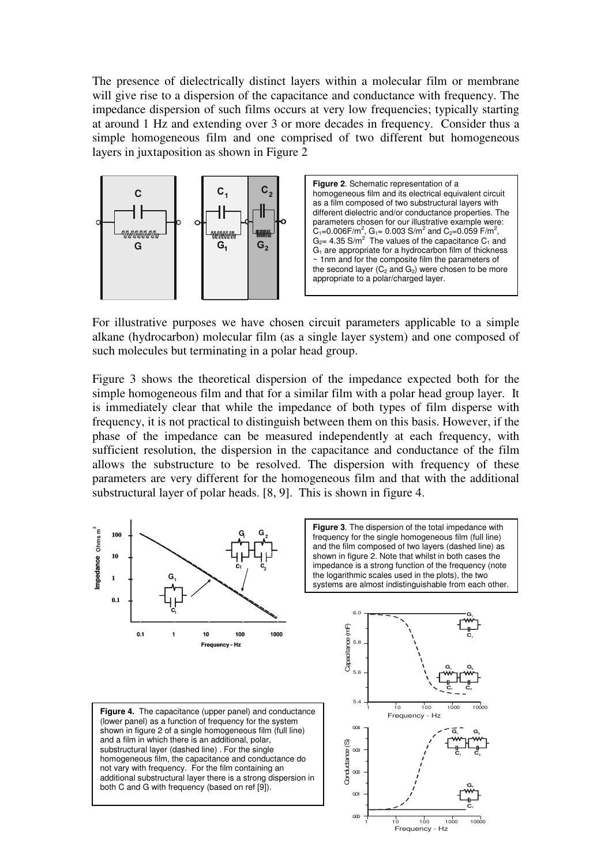The presence of dielectrically distinct layers within a molecular film or membrane will give rise to a dispersion of the capacitance and conductance with frequency. The impedance dispersion of such films occurs at very low frequencies; typically starting at around 1 Hz and extending over 3 or more decades in frequency. Consider thus a simple homogeneous film and one comprised of two different but homogeneous layers in juxtaposition as shown in Figure 2





For illustrative purposes we have chosen circuit parameters applicable to a simple alkane (hydrocarbon) molecular film (as a single layer system) and one composed of such molecules but terminating in a polar head group.

Figure 3 shows the theoretical dispersion of the impedance expected both for the simple homogeneous film and that for a similar film with a polar head group layer. It is immediately clear that while the impedance of both types of film disperse with frequency, it is not practical to distinguish between them on this basis. However, if the phase of the impedance can be measured independently at each frequency, with sufficient resolution, the dispersion in the capacitance and conductance of the film allows the substructure to be resolved. The dispersion with frequency of these parameters are very different for the homogeneous film and that with the additional substructural layer of polar heads. [8, 9]. This is shown in figure 4.

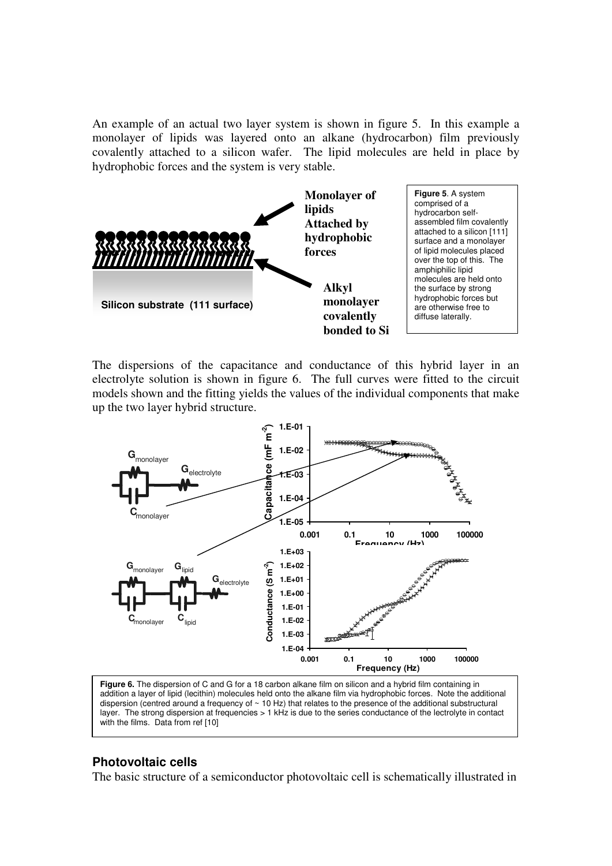An example of an actual two layer system is shown in figure 5. In this example a monolayer of lipids was layered onto an alkane (hydrocarbon) film previously covalently attached to a silicon wafer. The lipid molecules are held in place by hydrophobic forces and the system is very stable.



The dispersions of the capacitance and conductance of this hybrid layer in an electrolyte solution is shown in figure 6. The full curves were fitted to the circuit models shown and the fitting yields the values of the individual components that make up the two layer hybrid structure.



**Figure 6.** The dispersion of C and G for a 18 carbon alkane film on silicon and a hybrid film containing in addition a layer of lipid (lecithin) molecules held onto the alkane film via hydrophobic forces. Note the additional dispersion (centred around a frequency of  $\sim$  10 Hz) that relates to the presence of the additional substructural layer. The strong dispersion at frequencies > 1 kHz is due to the series conductance of the lectrolyte in contact with the films. Data from ref [10]

#### **Photovoltaic cells**

The basic structure of a semiconductor photovoltaic cell is schematically illustrated in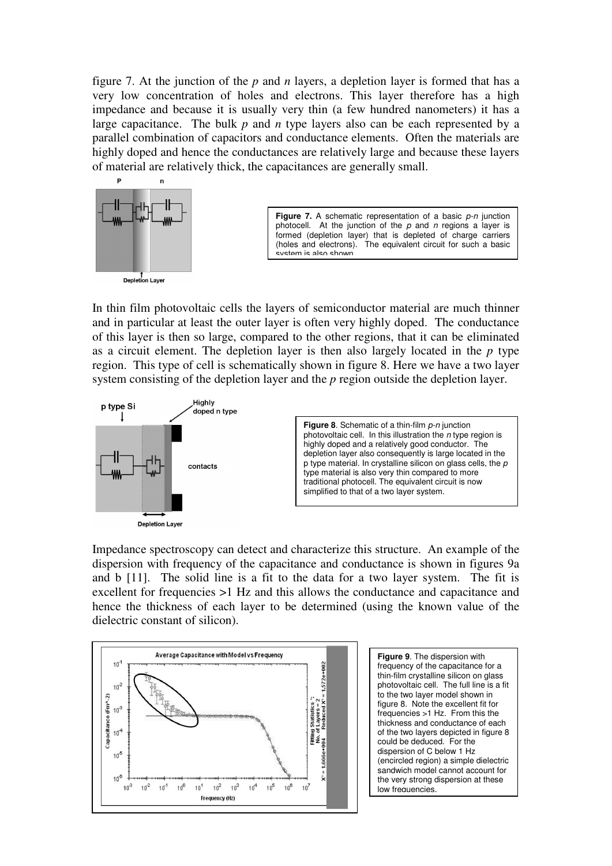figure 7. At the junction of the *p* and *n* layers, a depletion layer is formed that has a very low concentration of holes and electrons. This layer therefore has a high impedance and because it is usually very thin (a few hundred nanometers) it has a large capacitance. The bulk *p* and *n* type layers also can be each represented by a parallel combination of capacitors and conductance elements. Often the materials are highly doped and hence the conductances are relatively large and because these layers of material are relatively thick, the capacitances are generally small.



Figure 7. A schematic representation of a basic p-n junction photocell. At the junction of the  $p$  and  $n$  regions a layer is formed (depletion layer) that is depleted of charge carriers (holes and electrons). The equivalent circuit for such a basic .<br>system is also shown

In thin film photovoltaic cells the layers of semiconductor material are much thinner and in particular at least the outer layer is often very highly doped. The conductance of this layer is then so large, compared to the other regions, that it can be eliminated as a circuit element. The depletion layer is then also largely located in the *p* type region. This type of cell is schematically shown in figure 8. Here we have a two layer system consisting of the depletion layer and the *p* region outside the depletion layer.



Impedance spectroscopy can detect and characterize this structure. An example of the dispersion with frequency of the capacitance and conductance is shown in figures 9a and b [11]. The solid line is a fit to the data for a two layer system. The fit is excellent for frequencies >1 Hz and this allows the conductance and capacitance and hence the thickness of each layer to be determined (using the known value of the dielectric constant of silicon).



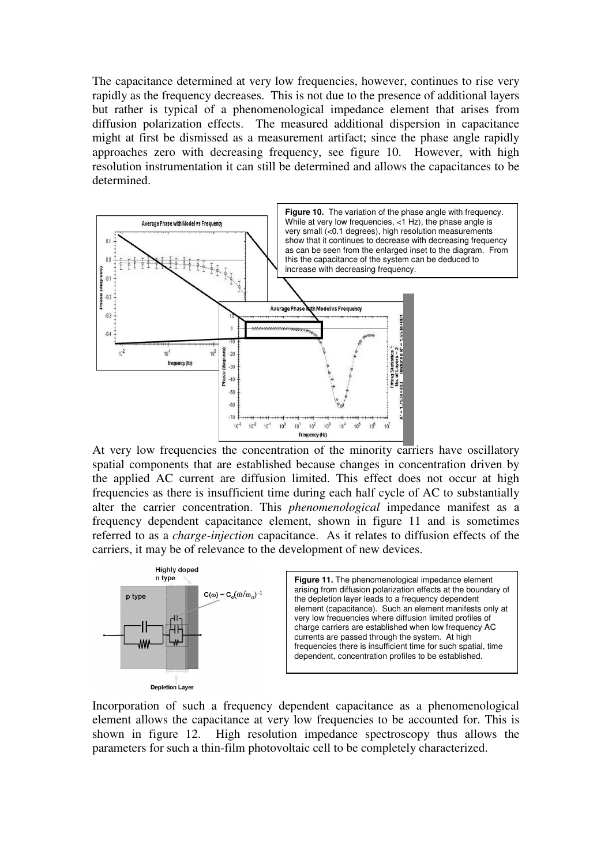The capacitance determined at very low frequencies, however, continues to rise very rapidly as the frequency decreases. This is not due to the presence of additional layers but rather is typical of a phenomenological impedance element that arises from diffusion polarization effects. The measured additional dispersion in capacitance might at first be dismissed as a measurement artifact; since the phase angle rapidly approaches zero with decreasing frequency, see figure 10. However, with high resolution instrumentation it can still be determined and allows the capacitances to be determined.



At very low frequencies the concentration of the minority carriers have oscillatory spatial components that are established because changes in concentration driven by the applied AC current are diffusion limited. This effect does not occur at high frequencies as there is insufficient time during each half cycle of AC to substantially alter the carrier concentration. This *phenomenological* impedance manifest as a frequency dependent capacitance element, shown in figure 11 and is sometimes referred to as a *charge-injection* capacitance. As it relates to diffusion effects of the carriers, it may be of relevance to the development of new devices.



Incorporation of such a frequency dependent capacitance as a phenomenological element allows the capacitance at very low frequencies to be accounted for. This is shown in figure 12. High resolution impedance spectroscopy thus allows the parameters for such a thin-film photovoltaic cell to be completely characterized.